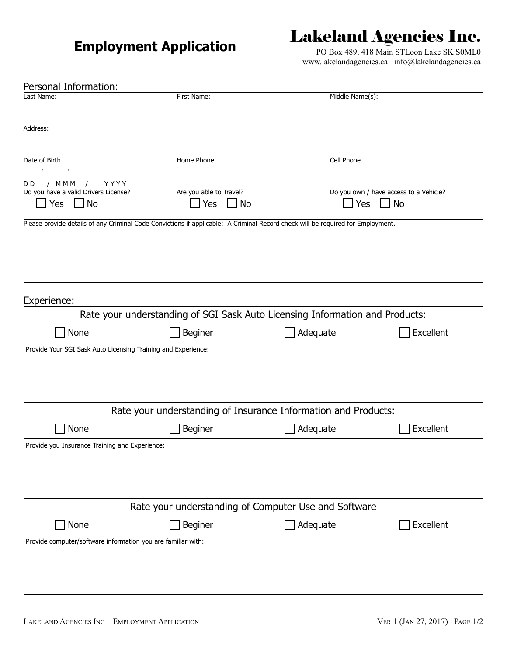## **Employment Application** Lakeland Agencies Inc.<br> **Employment Application**<br>
PO Box 489, 418 Main STLoon Lake SK SOMLO

PO Box 489, 418 Main STLoon Lake SK S0ML0 www.lakelandagencies.ca info@lakelandagencies.ca

| Personal Information:                                                                                                           |                                      |                                                                              |                  |  |  |
|---------------------------------------------------------------------------------------------------------------------------------|--------------------------------------|------------------------------------------------------------------------------|------------------|--|--|
| Last Name:                                                                                                                      | First Name:                          | Middle Name(s):                                                              |                  |  |  |
| Address:                                                                                                                        |                                      |                                                                              |                  |  |  |
| Date of Birth<br>D D<br>M M M<br><u>YYYY</u>                                                                                    | Home Phone                           | Cell Phone                                                                   |                  |  |  |
| Do you have a valid Drivers License?<br>Yes<br>$\vert$ No                                                                       | Are you able to Travel?<br>Yes<br>No | Do you own / have access to a Vehicle?<br>Yes                                | ∏ No             |  |  |
| Please provide details of any Criminal Code Convictions if applicable: A Criminal Record check will be required for Employment. |                                      |                                                                              |                  |  |  |
| Experience:                                                                                                                     |                                      |                                                                              |                  |  |  |
|                                                                                                                                 |                                      | Rate your understanding of SGI Sask Auto Licensing Information and Products: |                  |  |  |
| None                                                                                                                            | <b>Beginer</b>                       | Adequate                                                                     | Excellent        |  |  |
| Provide Your SGI Sask Auto Licensing Training and Experience:                                                                   |                                      |                                                                              |                  |  |  |
| Rate your understanding of Insurance Information and Products:                                                                  |                                      |                                                                              |                  |  |  |
| None                                                                                                                            | Beginer                              | Adequate                                                                     | <b>Excellent</b> |  |  |
| Provide you Insurance Training and Experience:                                                                                  |                                      |                                                                              |                  |  |  |
| Rate your understanding of Computer Use and Software                                                                            |                                      |                                                                              |                  |  |  |
| None                                                                                                                            | Beginer                              | Adequate                                                                     | Excellent        |  |  |
| Provide computer/software information you are familiar with:                                                                    |                                      |                                                                              |                  |  |  |